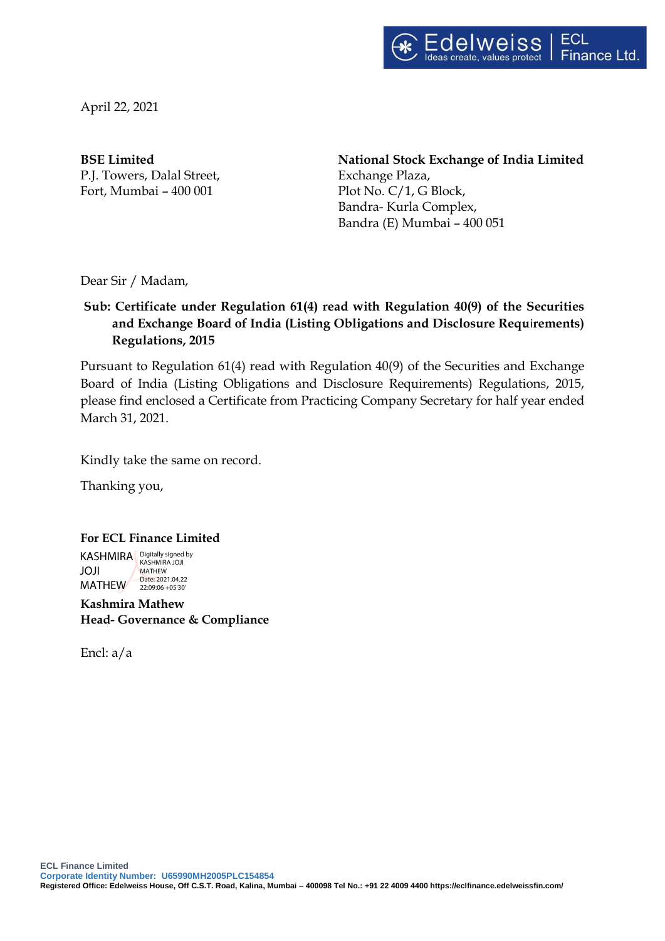

April 22, 2021

P.J. Towers, Dalal Street, Exchange Plaza, Fort, Mumbai – 400 001 Plot No. C/1, G Block,

**BSE Limited National Stock Exchange of India Limited** Bandra- Kurla Complex, Bandra (E) Mumbai – 400 051

Dear Sir / Madam,

## **Sub: Certificate under Regulation 61(4) read with Regulation 40(9) of the Securities and Exchange Board of India (Listing Obligations and Disclosure Requ**i**rements) Regulations, 2015**

Pursuant to Regulation 61(4) read with Regulation 40(9) of the Securities and Exchange Board of India (Listing Obligations and Disclosure Requirements) Regulations, 2015, please find enclosed a Certificate from Practicing Company Secretary for half year ended March 31, 2021.

Kindly take the same on record.

Thanking you,

#### **For ECL Finance Limited**

KASHMIRA Bigitally signed by JOJI MATHEW 22:09:06 +05'30' MATHEW Date: 2021.04.22

**Kashmira Mathew Head- Governance & Compliance**

Encl: a/a